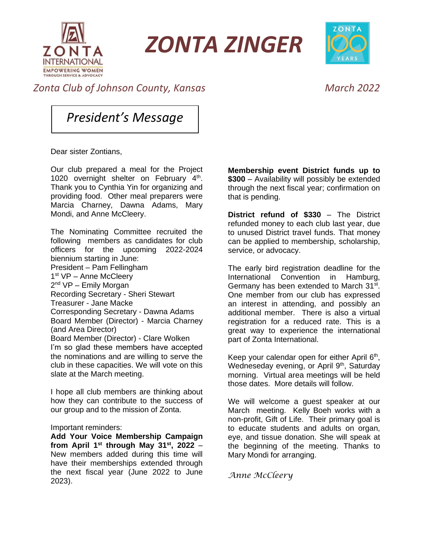

*ZONTA ZINGER*



## *Zonta Club of Johnson County, Kansas March 2022*

*President's Message*

Dear sister Zontians,

Our club prepared a meal for the Project 1020 overnight shelter on February  $4<sup>th</sup>$ . Thank you to Cynthia Yin for organizing and providing food. Other meal preparers were Marcia Charney, Dawna Adams, Mary Mondi, and Anne McCleery.

The Nominating Committee recruited the following members as candidates for club officers for the upcoming 2022-2024 biennium starting in June: President – Pam Fellingham 1<sup>st</sup> VP - Anne McCleery 2<sup>nd</sup> VP – Emily Morgan Recording Secretary - Sheri Stewart Treasurer - Jane Macke Corresponding Secretary - Dawna Adams Board Member (Director) - Marcia Charney (and Area Director) Board Member (Director) - Clare Wolken I'm so glad these members have accepted the nominations and are willing to serve the club in these capacities. We will vote on this slate at the March meeting.

I hope all club members are thinking about how they can contribute to the success of our group and to the mission of Zonta.

#### Important reminders:

**Add Your Voice Membership Campaign from April 1st through May 31st , 2022** – New members added during this time will have their memberships extended through the next fiscal year (June 2022 to June 2023).

**Membership event District funds up to \$300** – Availability will possibly be extended through the next fiscal year; confirmation on that is pending.

**District refund of \$330** – The District refunded money to each club last year, due to unused District travel funds. That money can be applied to membership, scholarship, service, or advocacy.

The early bird registration deadline for the International Convention in Hamburg, Germany has been extended to March 31<sup>st</sup>. One member from our club has expressed an interest in attending, and possibly an additional member. There is also a virtual registration for a reduced rate. This is a great way to experience the international part of Zonta International.

Keep your calendar open for either April 6<sup>th</sup>, Wedneseday evening, or April 9<sup>th</sup>, Saturday morning. Virtual area meetings will be held those dates. More details will follow.

We will welcome a guest speaker at our March meeting. Kelly Boeh works with a non-profit, Gift of Life. Their primary goal is to educate students and adults on organ, eye, and tissue donation. She will speak at the beginning of the meeting. Thanks to Mary Mondi for arranging.

*Anne McCleery*